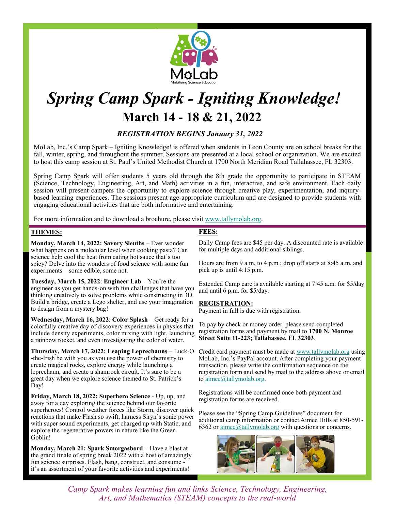

# *Spring Camp Spark - Igniting Knowledge!*  **March 14 - 18 & 21, 2022**

# *REGISTRATION BEGINS January 31, 2022*

MoLab, Inc.'s Camp Spark – Igniting Knowledge! is offered when students in Leon County are on school breaks for the fall, winter, spring, and throughout the summer. Sessions are presented at a local school or organization. We are excited to host this camp session at St. Paul's United Methodist Church at 1700 North Meridian Road Tallahassee, FL 32303.

Spring Camp Spark will offer students 5 years old through the 8th grade the opportunity to participate in STEAM (Science, Technology, Engineering, Art, and Math) activities in a fun, interactive, and safe environment. Each daily session will present campers the opportunity to explore science through creative play, experimentation, and inquirybased learning experiences. The sessions present age-appropriate curriculum and are designed to provide students with engaging educational activities that are both informative and entertaining.

For more information and to download a brochure, please visit www.tallymolab.org.

#### **THEMES:**

**Monday, March 14, 2022: Savory Sleuths** – Ever wonder what happens on a molecular level when cooking pasta? Can science help cool the heat from eating hot sauce that's too spicy? Delve into the wonders of food science with some fun experiments – some edible, some not.

**Tuesday, March 15, 2022**: **Engineer Lab** – You're the engineer as you get hands-on with fun challenges that have you thinking creatively to solve problems while constructing in 3D. Build a bridge, create a Lego shelter, and use your imagination to design from a mystery bag!

**Wednesday, March 16, 2022**: **Color Splash** – Get ready for a colorfully creative day of discovery experiences in physics that include density experiments, color mixing with light, launching a rainbow rocket, and even investigating the color of water.

**Thursday, March 17, 2022: Leaping Leprechauns** – Luck-O -the-Irish be with you as you use the power of chemistry to create magical rocks, explore energy while launching a leprechaun, and create a shamrock circuit. It's sure to be a great day when we explore science themed to St. Patrick's Day!

**Friday, March 18, 2022: Superhero Science** - Up, up, and away for a day exploring the science behind our favorite superheroes! Control weather forces like Storm, discover quick reactions that make Flash so swift, harness Siryn's sonic power with super sound experiments, get charged up with Static, and explore the regenerative powers in nature like the Green Goblin!

**Monday, March 21: Spark Smorgasbord** – Have a blast at the grand finale of spring break 2022 with a host of amazingly fun science surprises. Flash, bang, construct, and consume it's an assortment of your favorite activities and experiments!

## **FEES:**

Daily Camp fees are \$45 per day. A discounted rate is available for multiple days and additional siblings.

Hours are from 9 a.m. to 4 p.m.; drop off starts at 8:45 a.m. and pick up is until 4:15 p.m.

Extended Camp care is available starting at 7:45 a.m. for \$5/day and until 6 p.m. for \$5/day.

#### **REGISTRATION:**

Payment in full is due with registration.

To pay by check or money order, please send completed registration forms and payment by mail to **1700 N. Monroe Street Suite 11-223; Tallahassee, FL 32303**.

Credit card payment must be made at www.tallymolab.org using MoLab, Inc.'s PayPal account. After completing your payment transaction, please write the confirmation sequence on the registration form and send by mail to the address above or email to aimee@tallymolab.org.

Registrations will be confirmed once both payment and registration forms are received.

Please see the "Spring Camp Guidelines" document for additional camp information or contact Aimee Hills at 850-591- 6362 or aimee@tallymolab.org with questions or concerns.



*Camp Spark makes learning fun and links Science, Technology, Engineering, Art, and Mathematics (STEAM) concepts to the real-world*